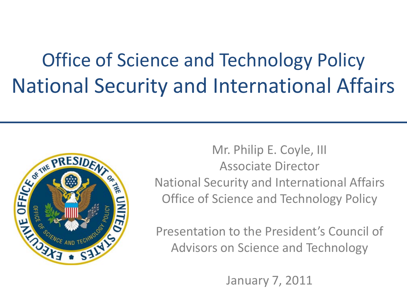#### Office of Science and Technology Policy National Security and International Affairs



Mr. Philip E. Coyle, III Associate Director National Security and International Affairs Office of Science and Technology Policy

Presentation to the President's Council of Advisors on Science and Technology

January 7, 2011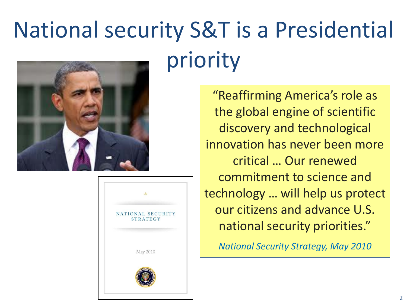# National security S&T is a Presidential priority



| NATIONAL SECURITY<br><b>STRATEGY</b> |
|--------------------------------------|
| May 2010                             |
|                                      |

"Reaffirming America's role as the global engine of scientific discovery and technological innovation has never been more critical … Our renewed commitment to science and technology … will help us protect our citizens and advance U.S. national security priorities."

*National Security Strategy, May 2010*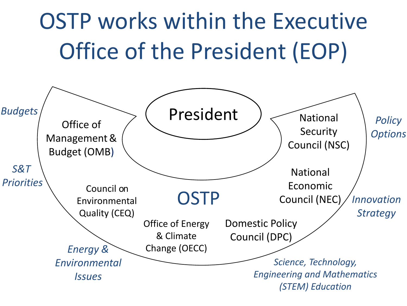# OSTP works within the Executive Office of the President (EOP)

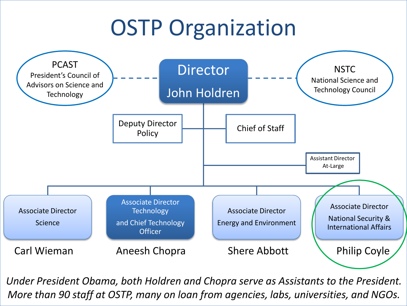### **OSTP Organization**



*Under President Obama, both Holdren and Chopra serve as Assistants to the President. More than 90 staff at OSTP, many on loan from agencies, labs, universities, and NGOs.*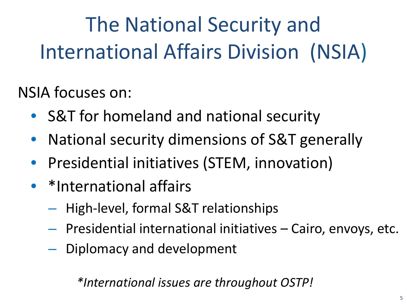The National Security and International Affairs Division (NSIA)

NSIA focuses on:

- S&T for homeland and national security
- National security dimensions of S&T generally
- Presidential initiatives (STEM, innovation)
- \*International affairs
	- High-level, formal S&T relationships
	- Presidential international initiatives Cairo, envoys, etc.
	- Diplomacy and development

*\*International issues are throughout OSTP!*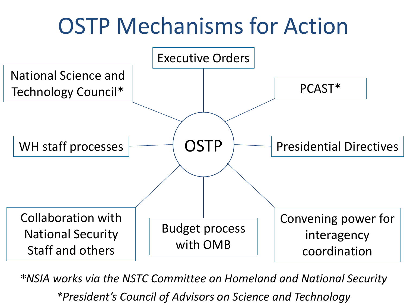## OSTP Mechanisms for Action



*\*NSIA works via the NSTC Committee on Homeland and National Security \*President's Council of Advisors on Science and Technology*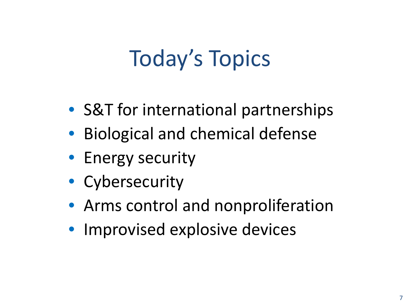## Today's Topics

- S&T for international partnerships
- Biological and chemical defense
- Energy security
- Cybersecurity
- Arms control and nonproliferation
- Improvised explosive devices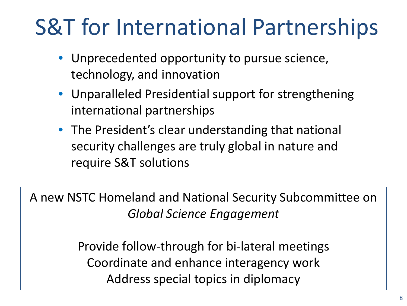# S&T for International Partnerships

- Unprecedented opportunity to pursue science, technology, and innovation
- Unparalleled Presidential support for strengthening international partnerships
- The President's clear understanding that national security challenges are truly global in nature and require S&T solutions

A new NSTC Homeland and National Security Subcommittee on *Global Science Engagement*

> Provide follow-through for bi-lateral meetings Coordinate and enhance interagency work Address special topics in diplomacy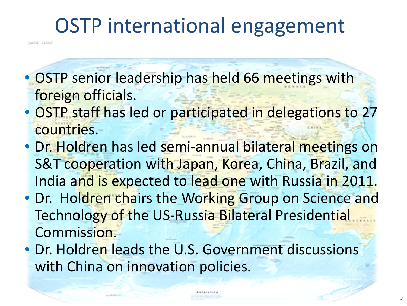#### OSTP international engagement

june 2010

• OSTP senior leadership has held 66 meetings with foreign officials.

- OSTP staff has led or participated in delegations to 27 countries.
- Dr. Holdren has led semi-annual bilateral meetings on S&T cooperation with Japan, Korea, China, Brazil, and India and is expected to lead one with Russia in 2011.
- Dr. Holdren chairs the Working Group on Science and Technology of the US-Russia Bilateral Presidential Commission.
- Dr. Holdren leads the U.S. Government discussions with China on innovation policies.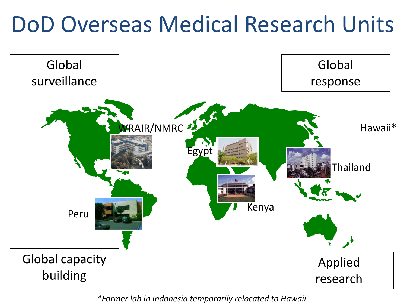#### DoD Overseas Medical Research Units



*\*Former lab in Indonesia temporarily relocated to Hawaii*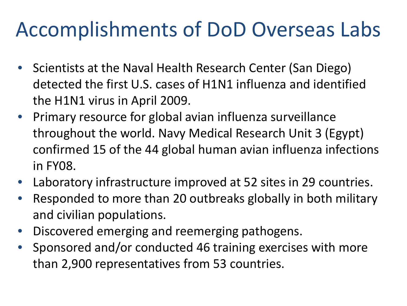#### Accomplishments of DoD Overseas Labs

- Scientists at the Naval Health Research Center (San Diego) detected the first U.S. cases of H1N1 influenza and identified the H1N1 virus in April 2009.
- Primary resource for global avian influenza surveillance throughout the world. Navy Medical Research Unit 3 (Egypt) confirmed 15 of the 44 global human avian influenza infections in FY08.
- Laboratory infrastructure improved at 52 sites in 29 countries.
- Responded to more than 20 outbreaks globally in both military and civilian populations.
- Discovered emerging and reemerging pathogens.
- Sponsored and/or conducted 46 training exercises with more than 2,900 representatives from 53 countries.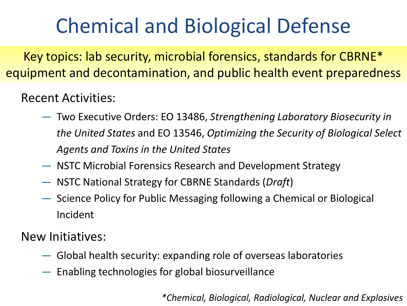#### Chemical and Biological Defense

Key topics: lab security, microbial forensics, standards for CBRNE\* equipment and decontamination, and public health event preparedness

#### Recent Activities:

- Two Executive Orders: EO 13486, *Strengthening Laboratory Biosecurity in the United States* and EO 13546, *Optimizing the Security of Biological Select Agents and Toxins in the United States*
- NSTC Microbial Forensics Research and Development Strategy
- NSTC National Strategy for CBRNE Standards (*Draft*)
- Science Policy for Public Messaging following a Chemical or Biological Incident

New Initiatives:

- Global health security: expanding role of overseas laboratories
- Enabling technologies for global biosurveillance

*\*Chemical, Biological, Radiological, Nuclear and Explosives*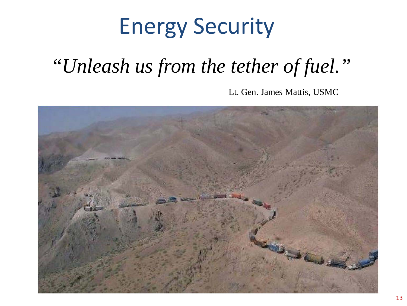## Energy Security

#### "*Unleash us from the tether of fuel."*

Lt. Gen. James Mattis, USMC

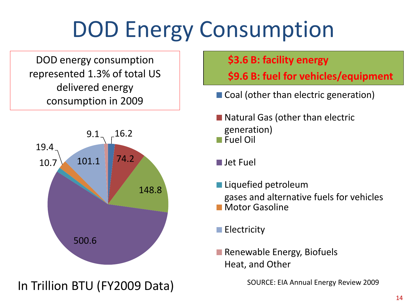# DOD Energy Consumption

DOD energy consumption represented 1.3% of total US delivered energy consumption in 2009



#### In Trillion BTU (FY2009 Data)

#### **\$3.6 B: facility energy**

**\$9.6 B: fuel for vehicles/equipment**

- Coal (other than electric generation)
- Natural Gas (other than electric generation) Fuel Oil
- Jet Fuel
- Liquefied petroleum gases and alternative fuels for vehicles
- Motor Gasoline
- $\blacksquare$  Electricity
- Renewable Energy, Biofuels Heat, and Other

SOURCE: EIA Annual Energy Review 2009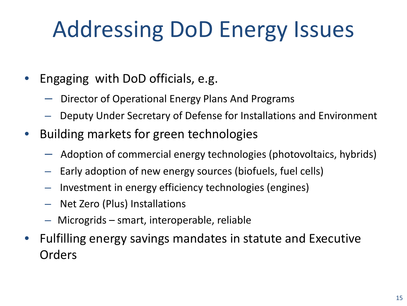# Addressing DoD Energy Issues

- Engaging with DoD officials, e.g.
	- Director of Operational Energy Plans And Programs
	- Deputy Under Secretary of Defense for Installations and Environment
- Building markets for green technologies
	- $-$  Adoption of commercial energy technologies (photovoltaics, hybrids)
	- Early adoption of new energy sources (biofuels, fuel cells)
	- Investment in energy efficiency technologies (engines)
	- Net Zero (Plus) Installations
	- Microgrids smart, interoperable, reliable
- Fulfilling energy savings mandates in statute and Executive **Orders**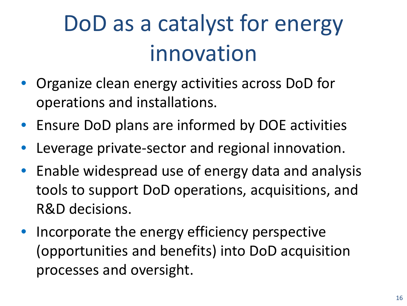# DoD as a catalyst for energy innovation

- Organize clean energy activities across DoD for operations and installations.
- Ensure DoD plans are informed by DOE activities
- Leverage private-sector and regional innovation.
- Enable widespread use of energy data and analysis tools to support DoD operations, acquisitions, and R&D decisions.
- Incorporate the energy efficiency perspective (opportunities and benefits) into DoD acquisition processes and oversight.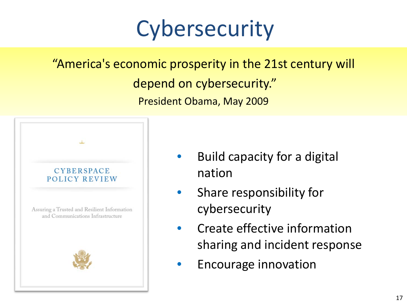### **Cybersecurity**

#### "America's economic prosperity in the 21st century will depend on cybersecurity." President Obama, May 2009



- Build capacity for a digital nation
- Share responsibility for cybersecurity
- Create effective information sharing and incident response
- Encourage innovation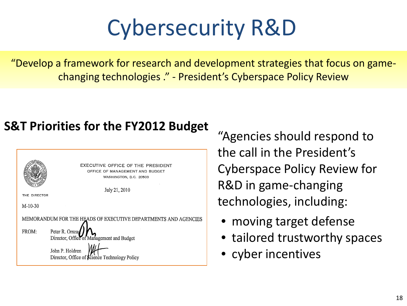# Cybersecurity R&D

"Develop a framework for research and development strategies that focus on gamechanging technologies ." - President's Cyberspace Policy Review

#### **S&T Priorities for the FY2012 Budget**



"Agencies should respond to the call in the President's Cyberspace Policy Review for R&D in game-changing technologies, including:

- moving target defense
- tailored trustworthy spaces
- cyber incentives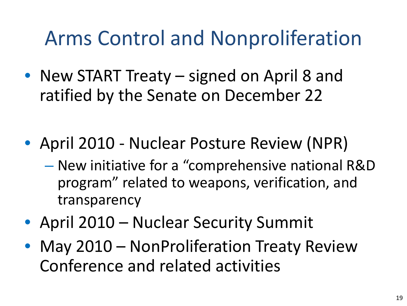#### Arms Control and Nonproliferation

- New START Treaty signed on April 8 and ratified by the Senate on December 22
- April 2010 Nuclear Posture Review (NPR)
	- New initiative for a "comprehensive national R&D program" related to weapons, verification, and transparency
- April 2010 Nuclear Security Summit
- May 2010 NonProliferation Treaty Review Conference and related activities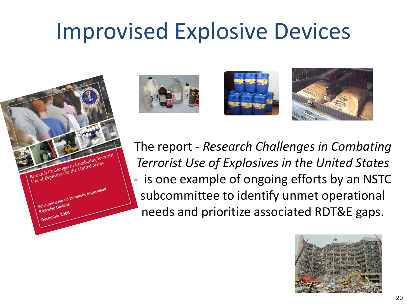### Improvised Explosive Devices

Research Challenges in Combating Terrorist Research Challenges in Combating Terry Subcommittee on Domestic Improvised Subcommittee







The report *- Research Challenges in Combating Terrorist Use of Explosives in the United States -* is one example of ongoing efforts by an NSTC subcommittee to identify unmet operational needs and prioritize associated RDT&E gaps.

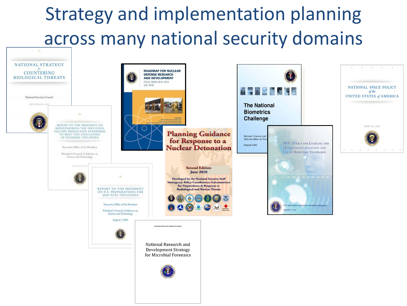#### Strategy and implementation planning across many national security domains

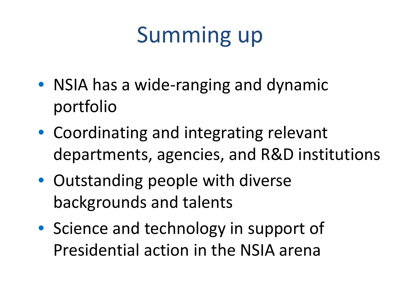# Summing up

- NSIA has a wide-ranging and dynamic portfolio
- Coordinating and integrating relevant departments, agencies, and R&D institutions
- Outstanding people with diverse backgrounds and talents
- Science and technology in support of Presidential action in the NSIA arena